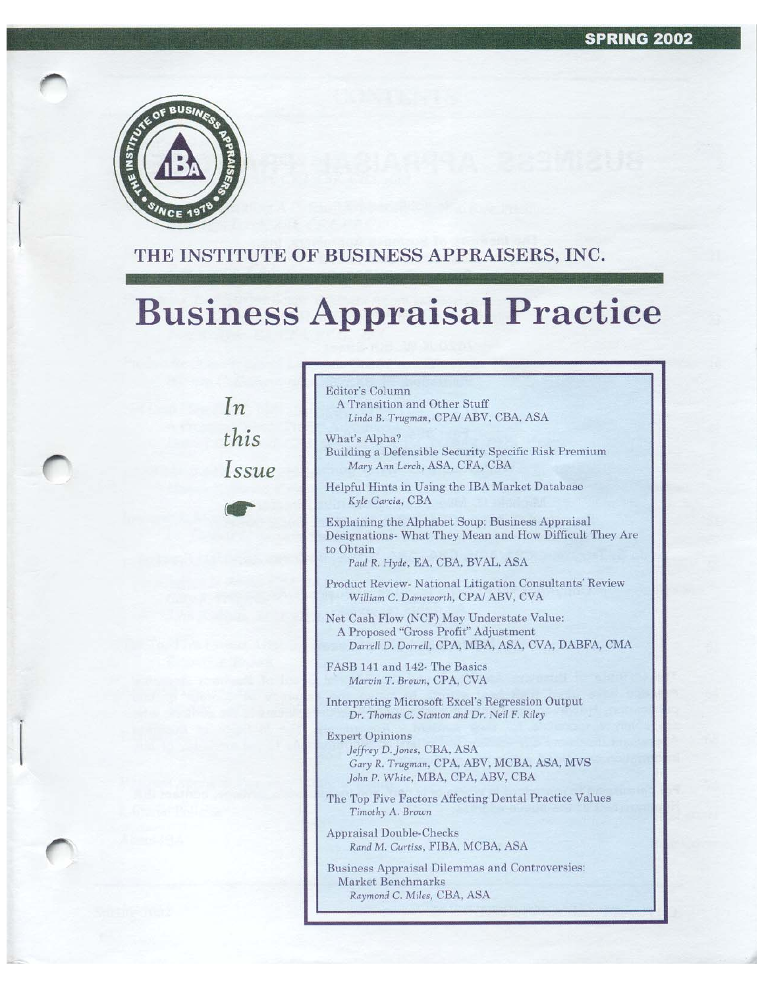

# THE INSTITUTE OF BUSINESS APPRAISERS, INC.

Editor's Column

# **Business Appraisal Practice**

A Transition and Other Stuff

 $In$  $this$ Issue



Explaining the Alphabet Soup: Business Appraisal Designations- What They Mean and How Difficult They Are to Obtain

Paul R. Hyde, EA, CBA, BVAL, ASA

Product Review- National Litigation Consultants' Review William C. Dameworth, CPA/ ABV, CVA

Net Cash Flow (NCF) May Understate Value: A Proposed "Gross Profit" Adjustment Darrell D. Dorrell, CPA, MBA, ASA, CVA, DABFA, CMA

FASB 141 and 142- The Basics Marvin T. Brown, CPA, CVA

**Interpreting Microsoft Excel's Regression Output** Dr. Thomas C. Stanton and Dr. Neil F. Riley

**Expert Opinions** Jeffrey D. Jones, CBA, ASA Gary R. Trugman, CPA, ABV, MCBA, ASA, MVS John P. White, MBA, CPA, ABV, CBA

The Top Five Factors Affecting Dental Practice Values Timothy A. Brown

Appraisal Double-Checks Rand M. Curtiss, FIBA, MCBA, ASA

Business Appraisal Dilemmas and Controversies: Market Benchmarks Raymond C. Miles, CBA, ASA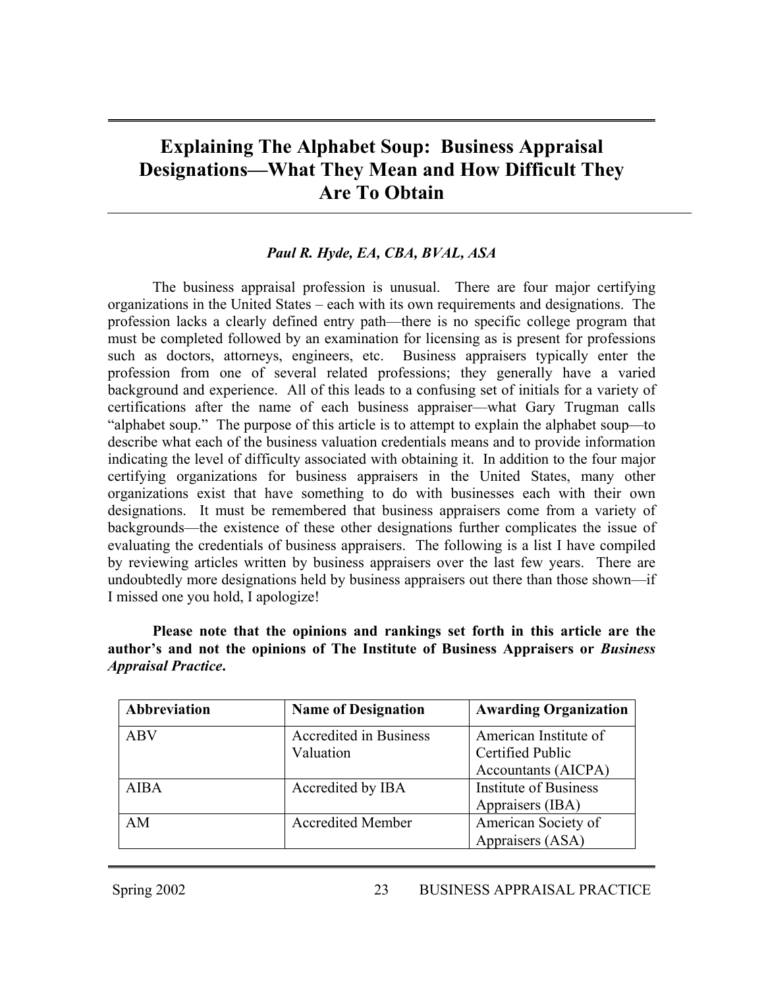# **Explaining The Alphabet Soup: Business Appraisal Designations—What They Mean and How Difficult They Are To Obtain**

#### *Paul R. Hyde, EA, CBA, BVAL, ASA*

The business appraisal profession is unusual. There are four major certifying organizations in the United States – each with its own requirements and designations. The profession lacks a clearly defined entry path—there is no specific college program that must be completed followed by an examination for licensing as is present for professions such as doctors, attorneys, engineers, etc. Business appraisers typically enter the profession from one of several related professions; they generally have a varied background and experience. All of this leads to a confusing set of initials for a variety of certifications after the name of each business appraiser—what Gary Trugman calls "alphabet soup." The purpose of this article is to attempt to explain the alphabet soup—to describe what each of the business valuation credentials means and to provide information indicating the level of difficulty associated with obtaining it. In addition to the four major certifying organizations for business appraisers in the United States, many other organizations exist that have something to do with businesses each with their own designations. It must be remembered that business appraisers come from a variety of backgrounds—the existence of these other designations further complicates the issue of evaluating the credentials of business appraisers. The following is a list I have compiled by reviewing articles written by business appraisers over the last few years. There are undoubtedly more designations held by business appraisers out there than those shown—if I missed one you hold, I apologize!

#### **Please note that the opinions and rankings set forth in this article are the author's and not the opinions of The Institute of Business Appraisers or** *Business Appraisal Practice***.**

| Abbreviation | <b>Name of Designation</b> | <b>Awarding Organization</b> |  |
|--------------|----------------------------|------------------------------|--|
| <b>ABV</b>   | Accredited in Business     | American Institute of        |  |
|              | Valuation                  | Certified Public             |  |
|              |                            | Accountants (AICPA)          |  |
| <b>AIBA</b>  | Accredited by IBA          | <b>Institute of Business</b> |  |
|              |                            | Appraisers (IBA)             |  |
| AM           | <b>Accredited Member</b>   | American Society of          |  |
|              |                            | Appraisers (ASA)             |  |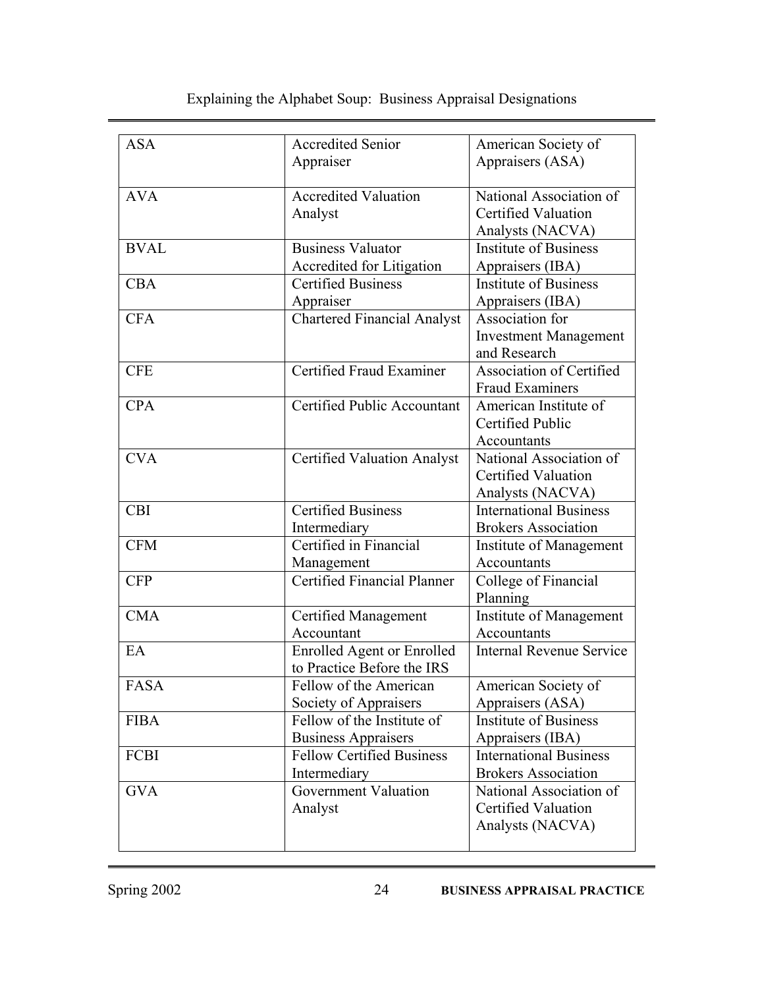| <b>ASA</b>  | <b>Accredited Senior</b>                                        | American Society of                               |
|-------------|-----------------------------------------------------------------|---------------------------------------------------|
|             | Appraiser                                                       | Appraisers (ASA)                                  |
| <b>AVA</b>  | <b>Accredited Valuation</b>                                     | National Association of                           |
|             | Analyst                                                         | <b>Certified Valuation</b>                        |
|             |                                                                 | Analysts (NACVA)                                  |
| <b>BVAL</b> | <b>Business Valuator</b>                                        | <b>Institute of Business</b>                      |
|             | Accredited for Litigation                                       | Appraisers (IBA)                                  |
| <b>CBA</b>  | <b>Certified Business</b>                                       | <b>Institute of Business</b>                      |
|             | Appraiser                                                       | Appraisers (IBA)                                  |
| <b>CFA</b>  | <b>Chartered Financial Analyst</b>                              | Association for                                   |
|             |                                                                 | <b>Investment Management</b>                      |
|             |                                                                 | and Research                                      |
| <b>CFE</b>  | Certified Fraud Examiner                                        | <b>Association of Certified</b>                   |
|             |                                                                 | <b>Fraud Examiners</b>                            |
| <b>CPA</b>  | Certified Public Accountant                                     | American Institute of                             |
|             |                                                                 | Certified Public                                  |
|             |                                                                 | Accountants                                       |
| <b>CVA</b>  | <b>Certified Valuation Analyst</b>                              | National Association of                           |
|             |                                                                 | <b>Certified Valuation</b>                        |
|             |                                                                 | Analysts (NACVA)                                  |
| <b>CBI</b>  | <b>Certified Business</b>                                       | International Business                            |
|             | Intermediary                                                    | <b>Brokers Association</b>                        |
| <b>CFM</b>  | Certified in Financial                                          | Institute of Management                           |
|             | Management                                                      | Accountants                                       |
| <b>CFP</b>  | <b>Certified Financial Planner</b>                              | College of Financial                              |
|             |                                                                 | Planning                                          |
| <b>CMA</b>  | <b>Certified Management</b>                                     | Institute of Management                           |
|             | Accountant                                                      | Accountants                                       |
| EA          | <b>Enrolled Agent or Enrolled</b><br>to Practice Before the IRS | Internal Revenue Service                          |
| <b>FASA</b> | Fellow of the American                                          | American Society of                               |
|             | Society of Appraisers                                           |                                                   |
| <b>FIBA</b> | Fellow of the Institute of                                      | Appraisers (ASA)<br><b>Institute of Business</b>  |
|             | <b>Business Appraisers</b>                                      |                                                   |
| FCBI        | <b>Fellow Certified Business</b>                                | Appraisers (IBA)<br><b>International Business</b> |
|             | Intermediary                                                    | <b>Brokers Association</b>                        |
| <b>GVA</b>  | Government Valuation                                            | National Association of                           |
|             |                                                                 | <b>Certified Valuation</b>                        |
|             | Analyst                                                         |                                                   |
|             |                                                                 | Analysts (NACVA)                                  |
|             |                                                                 |                                                   |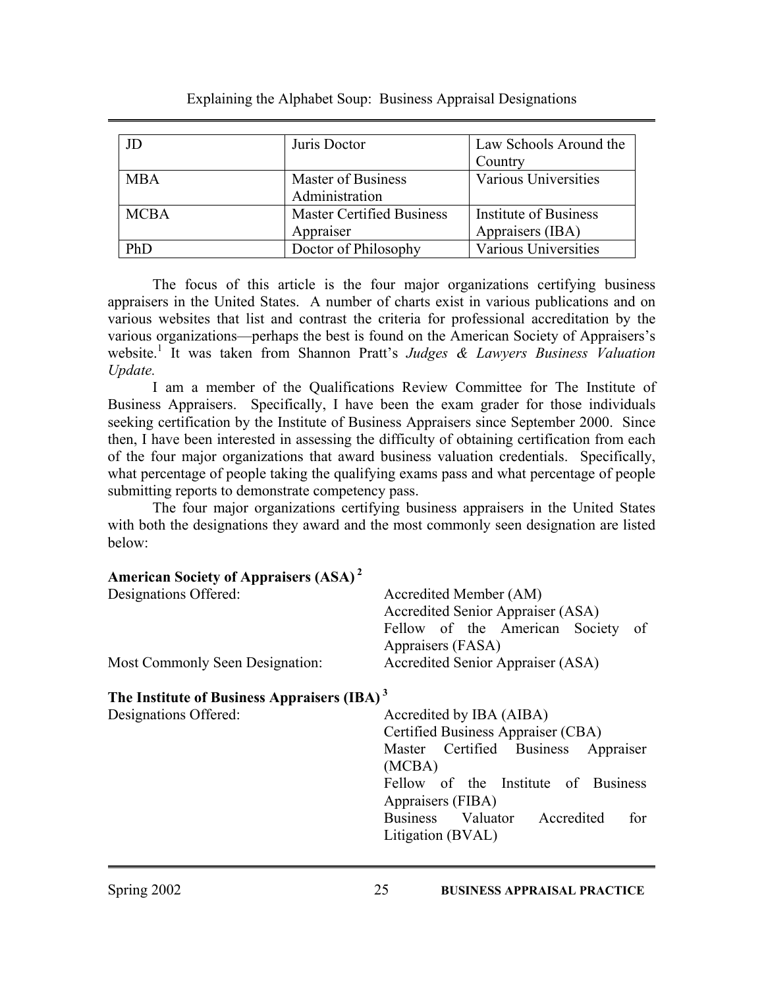| JD          | Juris Doctor                                  | Law Schools Around the<br>Country         |
|-------------|-----------------------------------------------|-------------------------------------------|
| <b>MBA</b>  | Master of Business<br>Administration          | Various Universities                      |
| <b>MCBA</b> | <b>Master Certified Business</b><br>Appraiser | Institute of Business<br>Appraisers (IBA) |
| PhD         | Doctor of Philosophy                          | Various Universities                      |

The focus of this article is the four major organizations certifying business appraisers in the United States. A number of charts exist in various publications and on various websites that list and contrast the criteria for professional accreditation by the various organizations—perhaps the best is found on the American Society of Appraisers's website.<sup>1</sup> It was taken from Shannon Pratt's Judges & Lawyers Business Valuation *Update.*

I am a member of the Qualifications Review Committee for The Institute of Business Appraisers. Specifically, I have been the exam grader for those individuals seeking certification by the Institute of Business Appraisers since September 2000. Since then, I have been interested in assessing the difficulty of obtaining certification from each of the four major organizations that award business valuation credentials. Specifically, what percentage of people taking the qualifying exams pass and what percentage of people submitting reports to demonstrate competency pass.

The four major organizations certifying business appraisers in the United States with both the designations they award and the most commonly seen designation are listed below:

| <b>American Society of Appraisers (ASA)</b> <sup>2</sup> |                                      |  |  |  |
|----------------------------------------------------------|--------------------------------------|--|--|--|
| Designations Offered:                                    | Accredited Member (AM)               |  |  |  |
|                                                          | Accredited Senior Appraiser (ASA)    |  |  |  |
|                                                          | Fellow of the American Society<br>of |  |  |  |
|                                                          | Appraisers (FASA)                    |  |  |  |
| Most Commonly Seen Designation:                          | Accredited Senior Appraiser (ASA)    |  |  |  |
| The Institute of Business Appraisers (IBA) <sup>3</sup>  |                                      |  |  |  |
| Designations Offered:                                    | Accredited by IBA (AIBA)             |  |  |  |
|                                                          | Certified Business Appraiser (CBA)   |  |  |  |
|                                                          | Master Certified Business Appraiser  |  |  |  |
|                                                          | (MCBA)                               |  |  |  |
|                                                          | Fellow of the Institute of Business  |  |  |  |
|                                                          | Appraisers (FIBA)                    |  |  |  |
|                                                          | Business Valuator Accredited<br>for  |  |  |  |
|                                                          | Litigation (BVAL)                    |  |  |  |
|                                                          |                                      |  |  |  |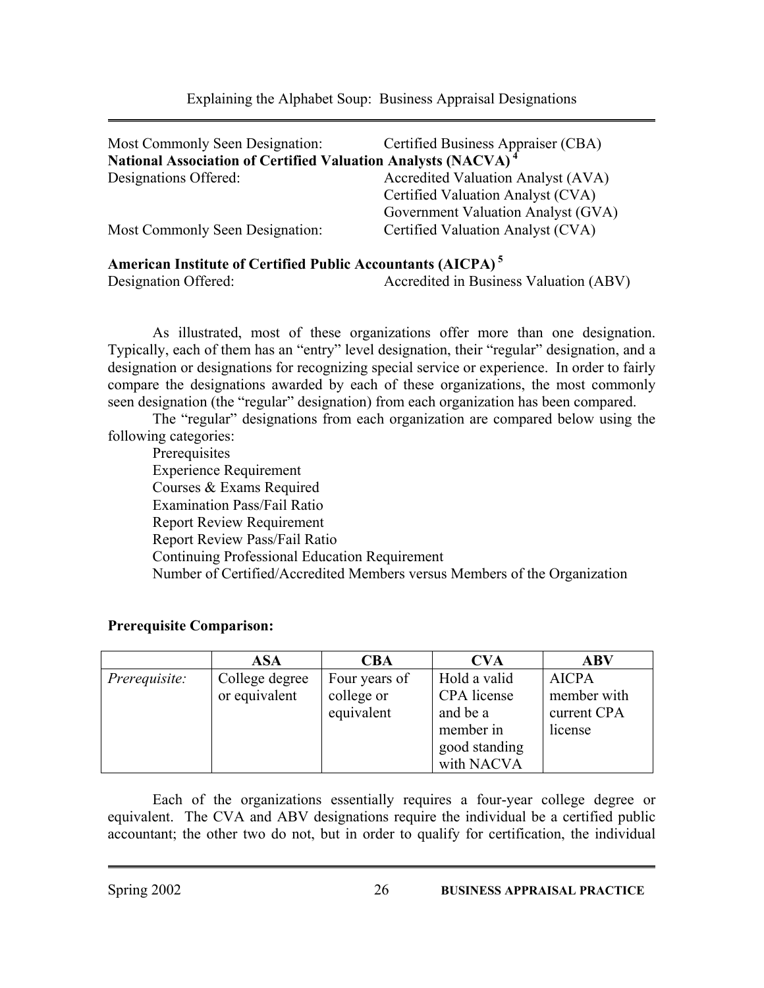| Most Commonly Seen Designation:                                           | Certified Business Appraiser (CBA)        |
|---------------------------------------------------------------------------|-------------------------------------------|
| National Association of Certified Valuation Analysts (NACVA) <sup>4</sup> |                                           |
| Designations Offered:                                                     | <b>Accredited Valuation Analyst (AVA)</b> |
|                                                                           | Certified Valuation Analyst (CVA)         |
|                                                                           | Government Valuation Analyst (GVA)        |
| Most Commonly Seen Designation:                                           | Certified Valuation Analyst (CVA)         |

#### **American Institute of Certified Public Accountants (AICPA)<sup>5</sup>** Designation Offered: Accredited in Business Valuation (ABV)

As illustrated, most of these organizations offer more than one designation. Typically, each of them has an "entry" level designation, their "regular" designation, and a designation or designations for recognizing special service or experience. In order to fairly compare the designations awarded by each of these organizations, the most commonly seen designation (the "regular" designation) from each organization has been compared.

The "regular" designations from each organization are compared below using the following categories:

**Prerequisites**  Experience Requirement Courses & Exams Required Examination Pass/Fail Ratio Report Review Requirement Report Review Pass/Fail Ratio Continuing Professional Education Requirement Number of Certified/Accredited Members versus Members of the Organization

#### **Prerequisite Comparison:**

|               | ASA                             | CBA                                       | CVA                                                                                 | ABV                                                   |
|---------------|---------------------------------|-------------------------------------------|-------------------------------------------------------------------------------------|-------------------------------------------------------|
| Prerequisite: | College degree<br>or equivalent | Four years of<br>college or<br>equivalent | Hold a valid<br>CPA license<br>and be a<br>member in<br>good standing<br>with NACVA | <b>AICPA</b><br>member with<br>current CPA<br>license |

Each of the organizations essentially requires a four-year college degree or equivalent. The CVA and ABV designations require the individual be a certified public accountant; the other two do not, but in order to qualify for certification, the individual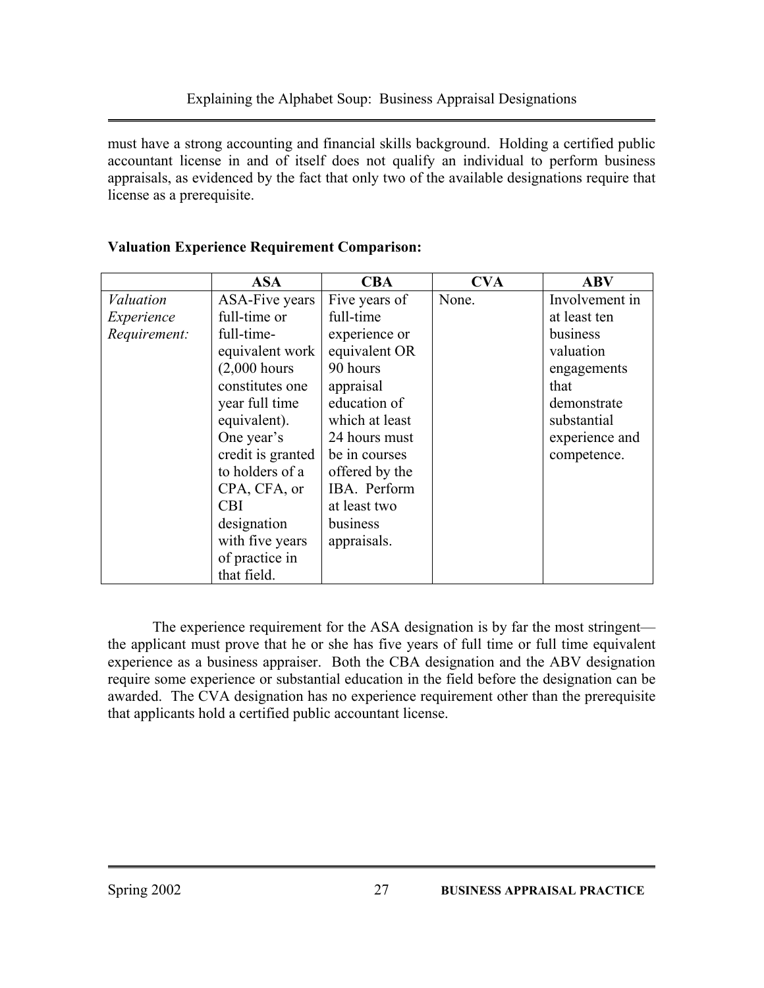must have a strong accounting and financial skills background. Holding a certified public accountant license in and of itself does not qualify an individual to perform business appraisals, as evidenced by the fact that only two of the available designations require that license as a prerequisite.

|              | <b>ASA</b>            | <b>CBA</b>     | <b>CVA</b> | <b>ABV</b>     |
|--------------|-----------------------|----------------|------------|----------------|
| Valuation    | <b>ASA-Five years</b> | Five years of  | None.      | Involvement in |
| Experience   | full-time or          | full-time      |            | at least ten   |
| Requirement: | full-time-            | experience or  |            | business       |
|              | equivalent work       | equivalent OR  |            | valuation      |
|              | $(2,000$ hours        | 90 hours       |            | engagements    |
|              | constitutes one       | appraisal      |            | that           |
|              | year full time        | education of   |            | demonstrate    |
|              | equivalent).          | which at least |            | substantial    |
|              | One year's            | 24 hours must  |            | experience and |
|              | credit is granted     | be in courses  |            | competence.    |
|              | to holders of a       | offered by the |            |                |
|              | CPA, CFA, or          | IBA. Perform   |            |                |
|              | <b>CBI</b>            | at least two   |            |                |
|              | designation           | business       |            |                |
|              | with five years       | appraisals.    |            |                |
|              | of practice in        |                |            |                |
|              | that field.           |                |            |                |

## **Valuation Experience Requirement Comparison:**

The experience requirement for the ASA designation is by far the most stringent the applicant must prove that he or she has five years of full time or full time equivalent experience as a business appraiser. Both the CBA designation and the ABV designation require some experience or substantial education in the field before the designation can be awarded. The CVA designation has no experience requirement other than the prerequisite that applicants hold a certified public accountant license.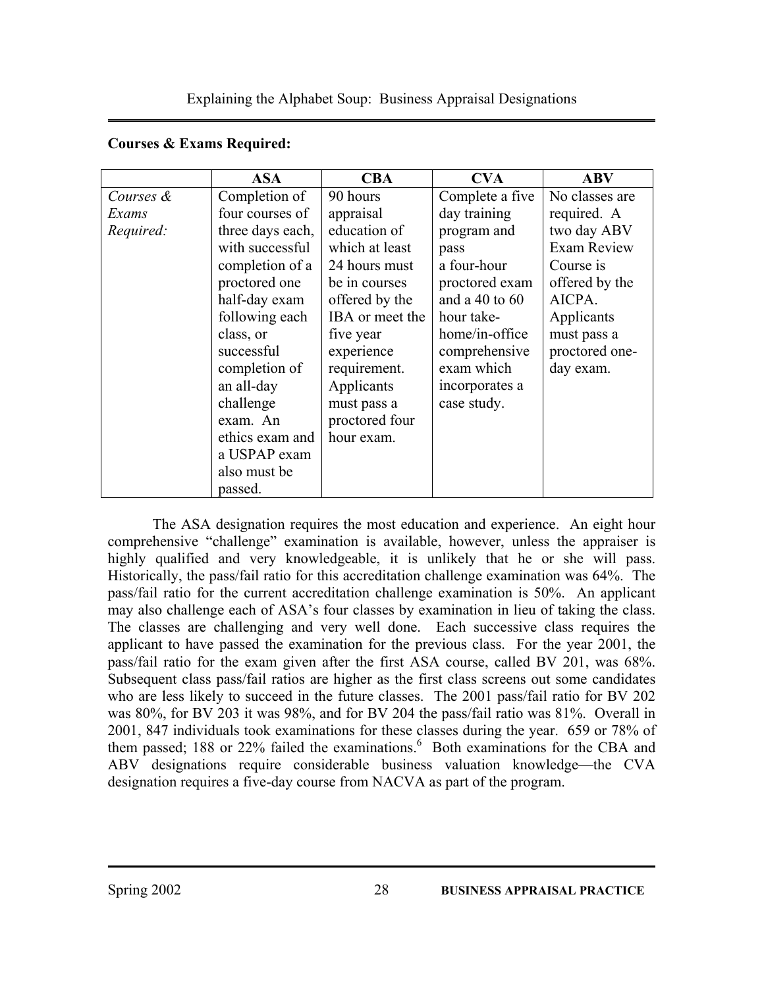|           | <b>ASA</b>       | <b>CBA</b>      | <b>CVA</b>         | <b>ABV</b>         |
|-----------|------------------|-----------------|--------------------|--------------------|
| Courses & | Completion of    | 90 hours        | Complete a five    | No classes are     |
| Exams     | four courses of  | appraisal       | day training       | required. A        |
| Required: | three days each, | education of    | program and        | two day ABV        |
|           | with successful  | which at least  | pass               | <b>Exam Review</b> |
|           | completion of a  | 24 hours must   | a four-hour        | Course is          |
|           | proctored one    | be in courses   | proctored exam     | offered by the     |
|           | half-day exam    | offered by the  | and a $40$ to $60$ | AICPA.             |
|           | following each   | IBA or meet the | hour take-         | Applicants         |
|           | class, or        | five year       | home/in-office     | must pass a        |
|           | successful       | experience      | comprehensive      | proctored one-     |
|           | completion of    | requirement.    | exam which         | day exam.          |
|           | an all-day       | Applicants      | incorporates a     |                    |
|           | challenge        | must pass a     | case study.        |                    |
|           | exam. An         | proctored four  |                    |                    |
|           | ethics exam and  | hour exam.      |                    |                    |
|           | a USPAP exam     |                 |                    |                    |
|           | also must be     |                 |                    |                    |
|           | passed.          |                 |                    |                    |

#### **Courses & Exams Required:**

The ASA designation requires the most education and experience. An eight hour comprehensive "challenge" examination is available, however, unless the appraiser is highly qualified and very knowledgeable, it is unlikely that he or she will pass. Historically, the pass/fail ratio for this accreditation challenge examination was 64%. The pass/fail ratio for the current accreditation challenge examination is 50%. An applicant may also challenge each of ASA's four classes by examination in lieu of taking the class. The classes are challenging and very well done. Each successive class requires the applicant to have passed the examination for the previous class. For the year 2001, the pass/fail ratio for the exam given after the first ASA course, called BV 201, was 68%. Subsequent class pass/fail ratios are higher as the first class screens out some candidates who are less likely to succeed in the future classes. The 2001 pass/fail ratio for BV 202 was 80%, for BV 203 it was 98%, and for BV 204 the pass/fail ratio was 81%. Overall in 2001, 847 individuals took examinations for these classes during the year. 659 or 78% of them passed; 188 or 22% failed the examinations.<sup>6</sup> Both examinations for the CBA and ABV designations require considerable business valuation knowledge—the CVA designation requires a five-day course from NACVA as part of the program.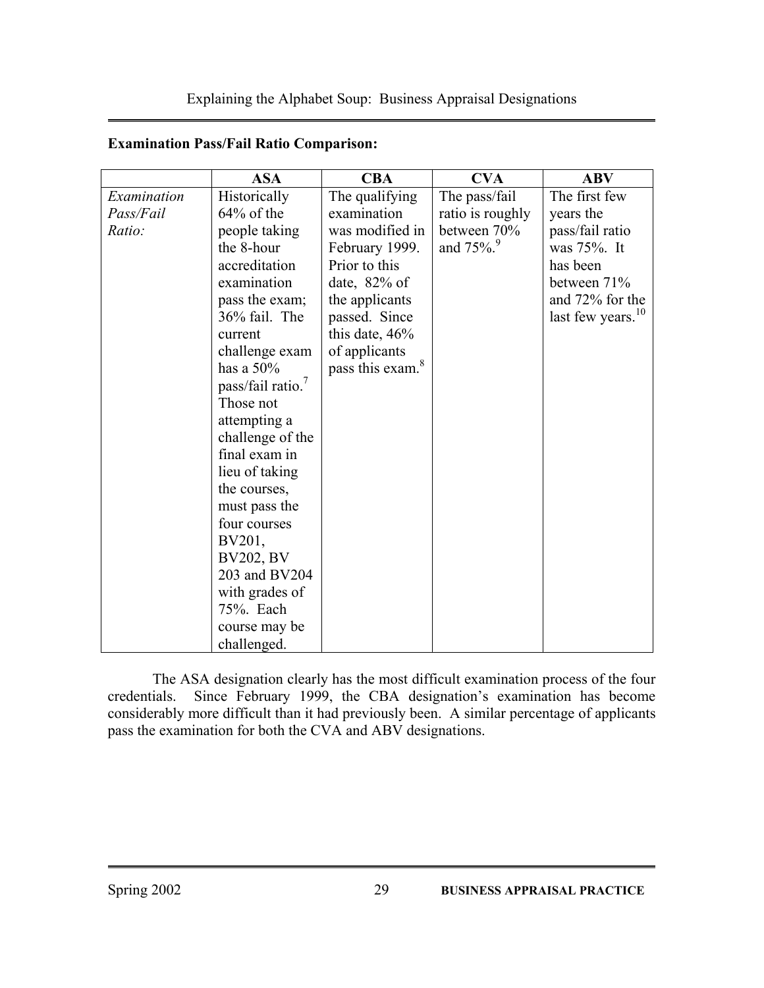|             | <b>ASA</b>                    | <b>CBA</b>                   | <b>CVA</b>            | <b>ABV</b>           |
|-------------|-------------------------------|------------------------------|-----------------------|----------------------|
| Examination | Historically                  | The qualifying               | The pass/fail         | The first few        |
| Pass/Fail   | $64\%$ of the                 | examination                  | ratio is roughly      | years the            |
| Ratio:      | people taking                 | was modified in              | between 70%           | pass/fail ratio      |
|             | the 8-hour                    | February 1999.               | and 75%. <sup>9</sup> | was 75%. It          |
|             | accreditation                 | Prior to this                |                       | has been             |
|             | examination                   | date, $82\%$ of              |                       | between 71%          |
|             | pass the exam;                | the applicants               |                       | and 72% for the      |
|             | 36% fail. The                 | passed. Since                |                       | last few years. $10$ |
|             | current                       | this date, $46%$             |                       |                      |
|             | challenge exam                | of applicants                |                       |                      |
|             | has a $50\%$                  | pass this exam. <sup>8</sup> |                       |                      |
|             | pass/fail ratio. <sup>7</sup> |                              |                       |                      |
|             | Those not                     |                              |                       |                      |
|             | attempting a                  |                              |                       |                      |
|             | challenge of the              |                              |                       |                      |
|             | final exam in                 |                              |                       |                      |
|             | lieu of taking                |                              |                       |                      |
|             | the courses,                  |                              |                       |                      |
|             | must pass the                 |                              |                       |                      |
|             | four courses                  |                              |                       |                      |
|             | BV201,                        |                              |                       |                      |
|             | <b>BV202, BV</b>              |                              |                       |                      |
|             | 203 and BV204                 |                              |                       |                      |
|             | with grades of                |                              |                       |                      |
|             | 75%. Each                     |                              |                       |                      |
|             | course may be                 |                              |                       |                      |
|             | challenged.                   |                              |                       |                      |

# **Examination Pass/Fail Ratio Comparison:**

The ASA designation clearly has the most difficult examination process of the four credentials. Since February 1999, the CBA designation's examination has become considerably more difficult than it had previously been. A similar percentage of applicants pass the examination for both the CVA and ABV designations.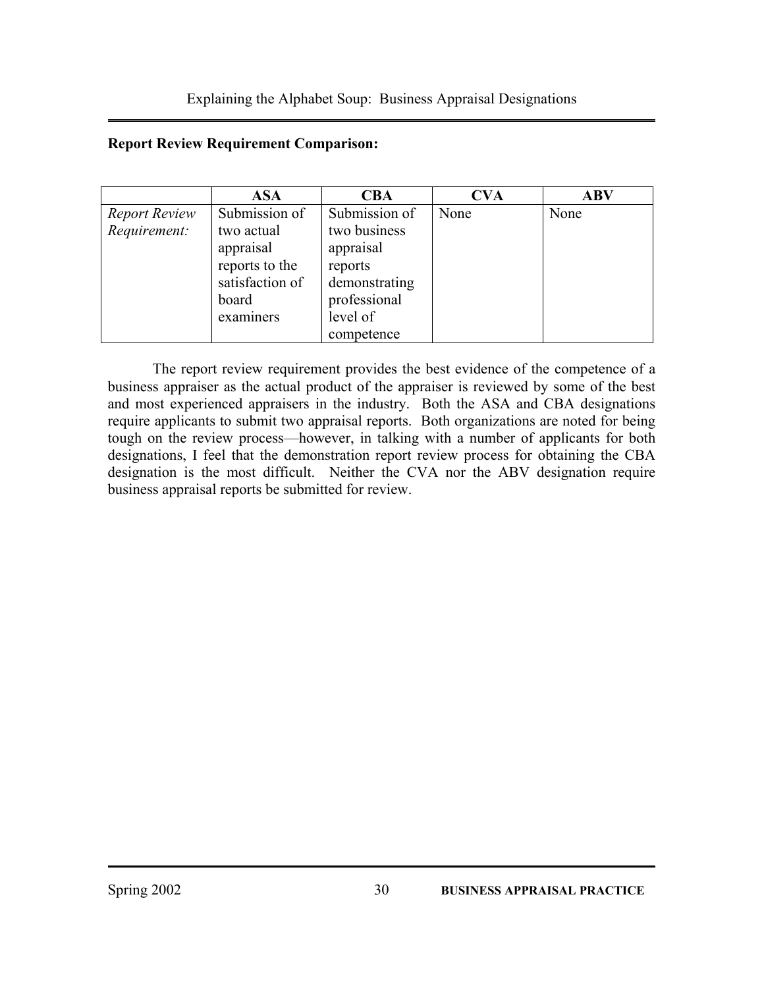#### **Report Review Requirement Comparison:**

|                      | <b>ASA</b>      | CBA           | CVA  | ABV  |
|----------------------|-----------------|---------------|------|------|
| <b>Report Review</b> | Submission of   | Submission of | None | None |
| Requirement:         | two actual      | two business  |      |      |
|                      | appraisal       | appraisal     |      |      |
|                      | reports to the  | reports       |      |      |
|                      | satisfaction of | demonstrating |      |      |
|                      | board           | professional  |      |      |
|                      | examiners       | level of      |      |      |
|                      |                 | competence    |      |      |

The report review requirement provides the best evidence of the competence of a business appraiser as the actual product of the appraiser is reviewed by some of the best and most experienced appraisers in the industry. Both the ASA and CBA designations require applicants to submit two appraisal reports. Both organizations are noted for being tough on the review process—however, in talking with a number of applicants for both designations, I feel that the demonstration report review process for obtaining the CBA designation is the most difficult. Neither the CVA nor the ABV designation require business appraisal reports be submitted for review.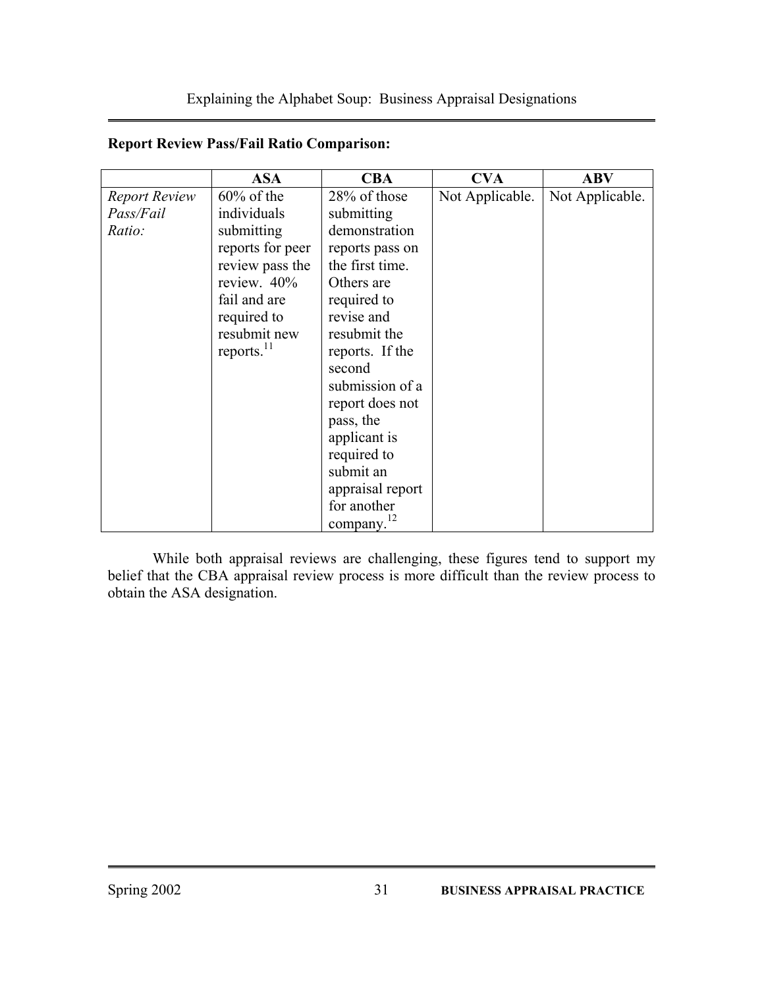|                      | <b>ASA</b>             | <b>CBA</b>             | <b>CVA</b>      | <b>ABV</b>      |
|----------------------|------------------------|------------------------|-----------------|-----------------|
| <b>Report Review</b> | $60\%$ of the          | 28% of those           | Not Applicable. | Not Applicable. |
| Pass/Fail            | individuals            | submitting             |                 |                 |
| Ratio:               | submitting             | demonstration          |                 |                 |
|                      | reports for peer       | reports pass on        |                 |                 |
|                      | review pass the        | the first time.        |                 |                 |
|                      | review. 40%            | Others are             |                 |                 |
|                      | fail and are           | required to            |                 |                 |
|                      | required to            | revise and             |                 |                 |
|                      | resubmit new           | resubmit the           |                 |                 |
|                      | reports. <sup>11</sup> | reports. If the        |                 |                 |
|                      |                        | second                 |                 |                 |
|                      |                        | submission of a        |                 |                 |
|                      |                        | report does not        |                 |                 |
|                      |                        | pass, the              |                 |                 |
|                      |                        | applicant is           |                 |                 |
|                      |                        | required to            |                 |                 |
|                      |                        | submit an              |                 |                 |
|                      |                        | appraisal report       |                 |                 |
|                      |                        | for another            |                 |                 |
|                      |                        | company. <sup>12</sup> |                 |                 |

#### **Report Review Pass/Fail Ratio Comparison:**

While both appraisal reviews are challenging, these figures tend to support my belief that the CBA appraisal review process is more difficult than the review process to obtain the ASA designation.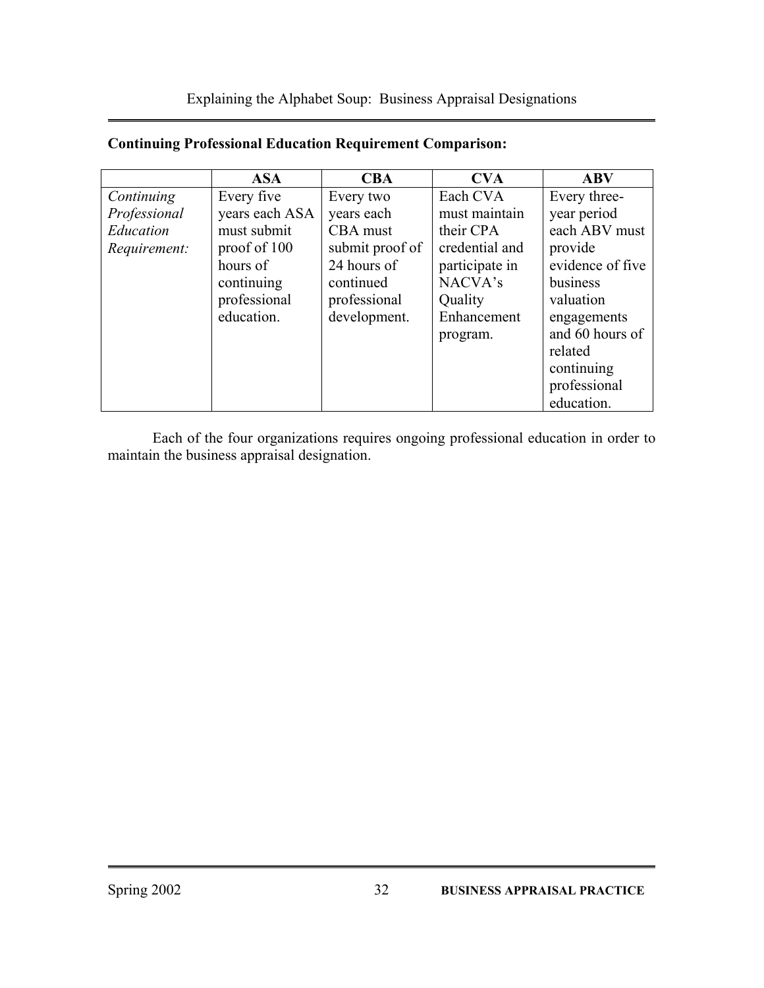|              | <b>ASA</b>     | <b>CBA</b>      | <b>CVA</b>     | <b>ABV</b>       |
|--------------|----------------|-----------------|----------------|------------------|
| Continuing   | Every five     | Every two       | Each CVA       | Every three-     |
| Professional | years each ASA | years each      | must maintain  | year period      |
| Education    | must submit    | CBA must        | their CPA      | each ABV must    |
| Requirement: | proof of 100   | submit proof of | credential and | provide          |
|              | hours of       | 24 hours of     | participate in | evidence of five |
|              | continuing     | continued       | NACVA's        | business         |
|              | professional   | professional    | Quality        | valuation        |
|              | education.     | development.    | Enhancement    | engagements      |
|              |                |                 | program.       | and 60 hours of  |
|              |                |                 |                | related          |
|              |                |                 |                | continuing       |
|              |                |                 |                | professional     |
|              |                |                 |                | education.       |

### **Continuing Professional Education Requirement Comparison:**

Each of the four organizations requires ongoing professional education in order to maintain the business appraisal designation.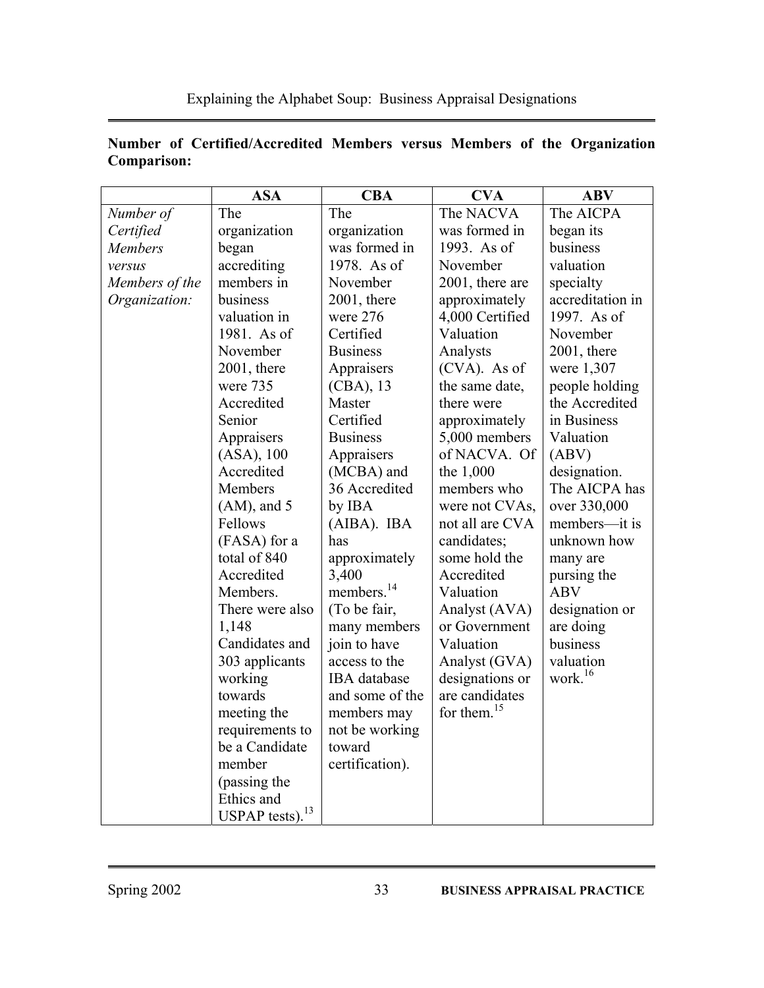|                | <b>ASA</b>            | <b>CBA</b>             | <b>CVA</b>      | <b>ABV</b>          |
|----------------|-----------------------|------------------------|-----------------|---------------------|
| Number of      | The                   | The                    | The NACVA       | The AICPA           |
| Certified      | organization          | organization           | was formed in   | began its           |
| <b>Members</b> | began                 | was formed in          | 1993. As of     | business            |
| versus         | accrediting           | 1978. As of            | November        | valuation           |
| Members of the | members in            | November               | 2001, there are | specialty           |
| Organization:  | business              | $2001$ , there         | approximately   | accreditation in    |
|                | valuation in          | were 276               | 4,000 Certified | 1997. As of         |
|                | 1981. As of           | Certified              | Valuation       | November            |
|                | November              | <b>Business</b>        | Analysts        | $2001$ , there      |
|                | $2001$ , there        | Appraisers             | $(CVA)$ . As of | were 1,307          |
|                | were 735              | $(CBA)$ , 13           | the same date,  | people holding      |
|                | Accredited            | Master                 | there were      | the Accredited      |
|                | Senior                | Certified              | approximately   | in Business         |
|                | Appraisers            | <b>Business</b>        | 5,000 members   | Valuation           |
|                | $(ASA)$ , 100         | Appraisers             | of NACVA. Of    | (ABV)               |
|                | Accredited            | (MCBA) and             | the 1,000       | designation.        |
|                | Members               | 36 Accredited          | members who     | The AICPA has       |
|                | $(AM)$ , and 5        | by IBA                 | were not CVAs,  | over 330,000        |
|                | Fellows               | (AIBA). IBA            | not all are CVA | members-it is       |
|                | (FASA) for a          | has                    | candidates;     | unknown how         |
|                | total of 840          | approximately          | some hold the   | many are            |
|                | Accredited            | 3,400                  | Accredited      | pursing the         |
|                | Members.              | members. <sup>14</sup> | Valuation       | <b>ABV</b>          |
|                | There were also       | (To be fair,           | Analyst (AVA)   | designation or      |
|                | 1,148                 | many members           | or Government   | are doing           |
|                | Candidates and        | join to have           | Valuation       | business            |
|                | 303 applicants        | access to the          | Analyst (GVA)   | valuation           |
|                | working               | IBA database           | designations or | work. <sup>16</sup> |
|                | towards               | and some of the        | are candidates  |                     |
|                | meeting the           | members may            | for them. $15$  |                     |
|                | requirements to       | not be working         |                 |                     |
|                | be a Candidate        | toward                 |                 |                     |
|                | member                | certification).        |                 |                     |
|                | (passing the          |                        |                 |                     |
|                | Ethics and            |                        |                 |                     |
|                | USPAP tests). $^{13}$ |                        |                 |                     |

#### **Number of Certified/Accredited Members versus Members of the Organization Comparison:**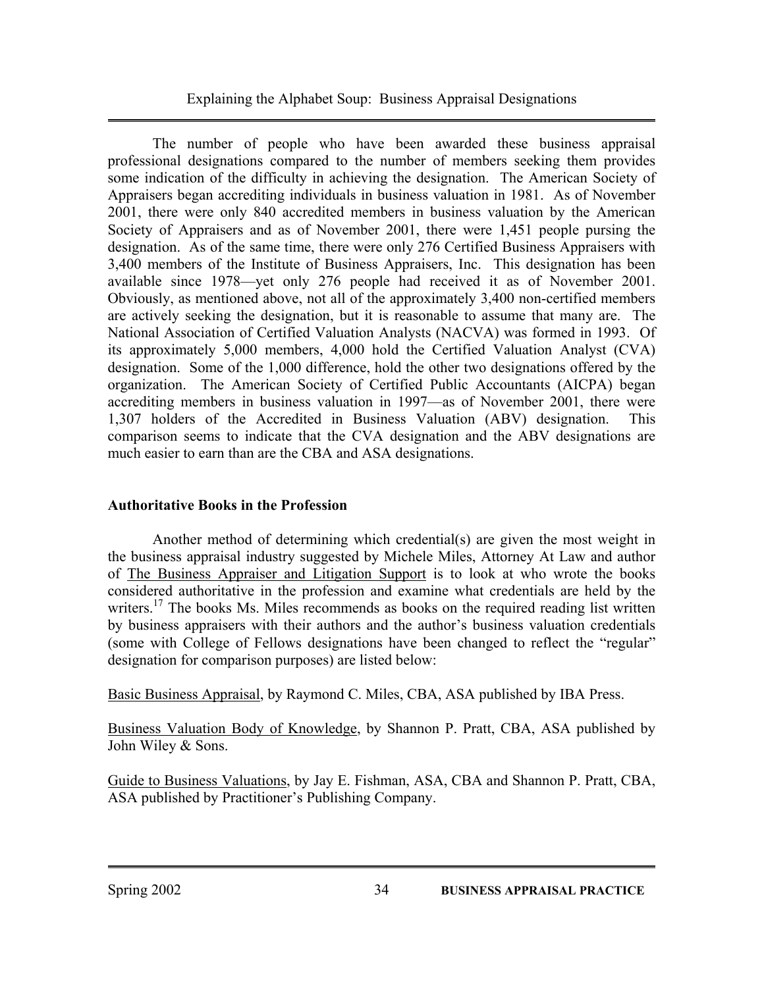The number of people who have been awarded these business appraisal professional designations compared to the number of members seeking them provides some indication of the difficulty in achieving the designation. The American Society of Appraisers began accrediting individuals in business valuation in 1981. As of November 2001, there were only 840 accredited members in business valuation by the American Society of Appraisers and as of November 2001, there were 1,451 people pursing the designation. As of the same time, there were only 276 Certified Business Appraisers with 3,400 members of the Institute of Business Appraisers, Inc. This designation has been available since 1978—yet only 276 people had received it as of November 2001. Obviously, as mentioned above, not all of the approximately 3,400 non-certified members are actively seeking the designation, but it is reasonable to assume that many are. The National Association of Certified Valuation Analysts (NACVA) was formed in 1993. Of its approximately 5,000 members, 4,000 hold the Certified Valuation Analyst (CVA) designation. Some of the 1,000 difference, hold the other two designations offered by the organization. The American Society of Certified Public Accountants (AICPA) began accrediting members in business valuation in 1997—as of November 2001, there were 1,307 holders of the Accredited in Business Valuation (ABV) designation. This comparison seems to indicate that the CVA designation and the ABV designations are much easier to earn than are the CBA and ASA designations.

#### **Authoritative Books in the Profession**

Another method of determining which credential(s) are given the most weight in the business appraisal industry suggested by Michele Miles, Attorney At Law and author of The Business Appraiser and Litigation Support is to look at who wrote the books considered authoritative in the profession and examine what credentials are held by the writers.<sup>17</sup> The books Ms. Miles recommends as books on the required reading list written by business appraisers with their authors and the author's business valuation credentials (some with College of Fellows designations have been changed to reflect the "regular" designation for comparison purposes) are listed below:

Basic Business Appraisal, by Raymond C. Miles, CBA, ASA published by IBA Press.

Business Valuation Body of Knowledge, by Shannon P. Pratt, CBA, ASA published by John Wiley & Sons.

Guide to Business Valuations, by Jay E. Fishman, ASA, CBA and Shannon P. Pratt, CBA, ASA published by Practitioner's Publishing Company.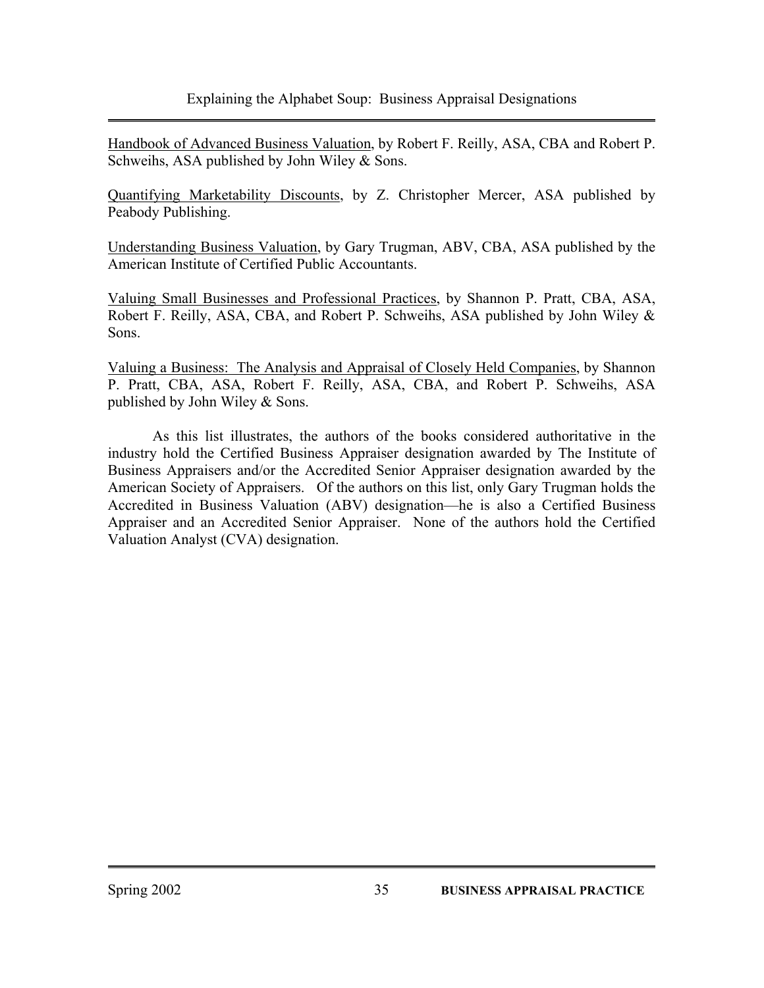Handbook of Advanced Business Valuation, by Robert F. Reilly, ASA, CBA and Robert P. Schweihs, ASA published by John Wiley & Sons.

Quantifying Marketability Discounts, by Z. Christopher Mercer, ASA published by Peabody Publishing.

Understanding Business Valuation, by Gary Trugman, ABV, CBA, ASA published by the American Institute of Certified Public Accountants.

Valuing Small Businesses and Professional Practices, by Shannon P. Pratt, CBA, ASA, Robert F. Reilly, ASA, CBA, and Robert P. Schweihs, ASA published by John Wiley & Sons.

Valuing a Business: The Analysis and Appraisal of Closely Held Companies, by Shannon P. Pratt, CBA, ASA, Robert F. Reilly, ASA, CBA, and Robert P. Schweihs, ASA published by John Wiley & Sons.

As this list illustrates, the authors of the books considered authoritative in the industry hold the Certified Business Appraiser designation awarded by The Institute of Business Appraisers and/or the Accredited Senior Appraiser designation awarded by the American Society of Appraisers. Of the authors on this list, only Gary Trugman holds the Accredited in Business Valuation (ABV) designation—he is also a Certified Business Appraiser and an Accredited Senior Appraiser. None of the authors hold the Certified Valuation Analyst (CVA) designation.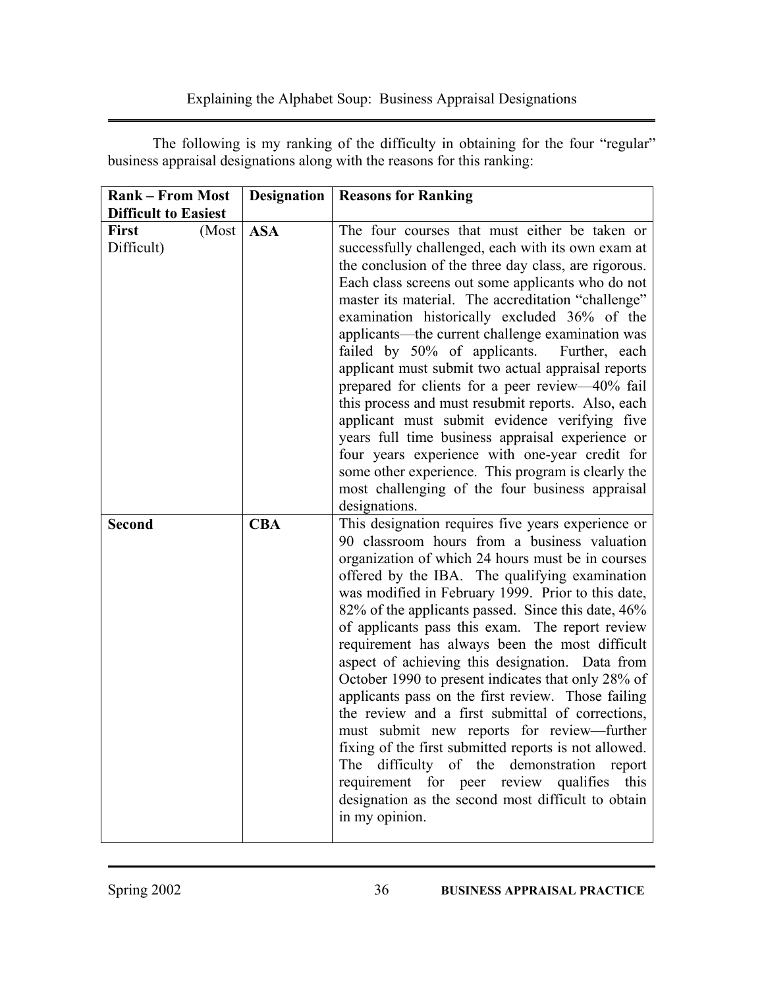| <b>Rank – From Most</b>             | <b>Designation</b> | <b>Reasons for Ranking</b>                                                                                                                                                                                                                                                                                                                                                                                                                                                                                                                                                                                                                                                                                                                                                                                                                                                                                                  |  |
|-------------------------------------|--------------------|-----------------------------------------------------------------------------------------------------------------------------------------------------------------------------------------------------------------------------------------------------------------------------------------------------------------------------------------------------------------------------------------------------------------------------------------------------------------------------------------------------------------------------------------------------------------------------------------------------------------------------------------------------------------------------------------------------------------------------------------------------------------------------------------------------------------------------------------------------------------------------------------------------------------------------|--|
| <b>Difficult to Easiest</b>         |                    |                                                                                                                                                                                                                                                                                                                                                                                                                                                                                                                                                                                                                                                                                                                                                                                                                                                                                                                             |  |
| <b>First</b><br>(Most<br>Difficult) | <b>ASA</b>         | The four courses that must either be taken or<br>successfully challenged, each with its own exam at<br>the conclusion of the three day class, are rigorous.<br>Each class screens out some applicants who do not<br>master its material. The accreditation "challenge"<br>examination historically excluded 36% of the<br>applicants—the current challenge examination was<br>failed by 50% of applicants.<br>Further, each<br>applicant must submit two actual appraisal reports<br>prepared for clients for a peer review-40% fail<br>this process and must resubmit reports. Also, each<br>applicant must submit evidence verifying five<br>years full time business appraisal experience or<br>four years experience with one-year credit for<br>some other experience. This program is clearly the<br>most challenging of the four business appraisal<br>designations.                                                 |  |
| <b>Second</b>                       | <b>CBA</b>         | This designation requires five years experience or<br>90 classroom hours from a business valuation<br>organization of which 24 hours must be in courses<br>offered by the IBA. The qualifying examination<br>was modified in February 1999. Prior to this date,<br>82% of the applicants passed. Since this date, 46%<br>of applicants pass this exam. The report review<br>requirement has always been the most difficult<br>aspect of achieving this designation. Data from<br>October 1990 to present indicates that only 28% of<br>applicants pass on the first review. Those failing<br>the review and a first submittal of corrections,<br>must submit new reports for review-further<br>fixing of the first submitted reports is not allowed.<br>difficulty of the demonstration report<br>The<br>requirement for peer review qualifies this<br>designation as the second most difficult to obtain<br>in my opinion. |  |

The following is my ranking of the difficulty in obtaining for the four "regular" business appraisal designations along with the reasons for this ranking: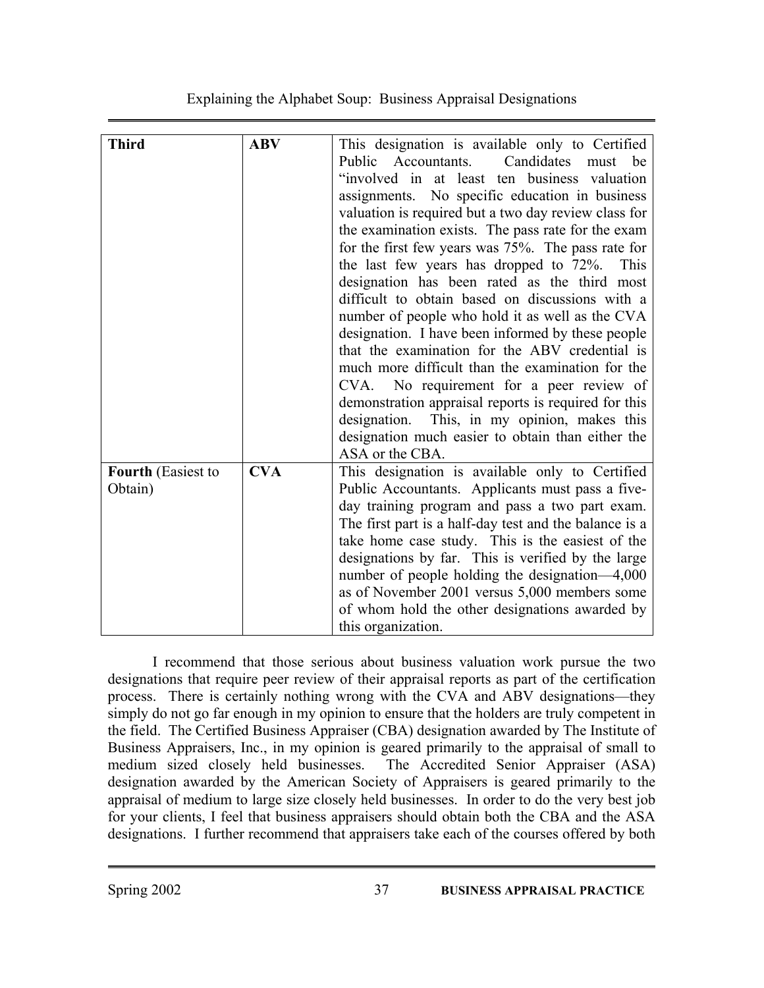| <b>Third</b>                         | <b>ABV</b> | This designation is available only to Certified<br>Public Accountants. Candidates<br>must be<br>"involved in at least ten business valuation<br>assignments. No specific education in business<br>valuation is required but a two day review class for<br>the examination exists. The pass rate for the exam<br>for the first few years was 75%. The pass rate for<br>the last few years has dropped to 72%.<br>This<br>designation has been rated as the third most<br>difficult to obtain based on discussions with a<br>number of people who hold it as well as the CVA<br>designation. I have been informed by these people<br>that the examination for the ABV credential is<br>much more difficult than the examination for the<br>CVA. No requirement for a peer review of<br>demonstration appraisal reports is required for this<br>designation. This, in my opinion, makes this<br>designation much easier to obtain than either the<br>ASA or the CBA. |
|--------------------------------------|------------|-------------------------------------------------------------------------------------------------------------------------------------------------------------------------------------------------------------------------------------------------------------------------------------------------------------------------------------------------------------------------------------------------------------------------------------------------------------------------------------------------------------------------------------------------------------------------------------------------------------------------------------------------------------------------------------------------------------------------------------------------------------------------------------------------------------------------------------------------------------------------------------------------------------------------------------------------------------------|
| <b>Fourth</b> (Easiest to<br>Obtain) | <b>CVA</b> | This designation is available only to Certified<br>Public Accountants. Applicants must pass a five-<br>day training program and pass a two part exam.<br>The first part is a half-day test and the balance is a<br>take home case study. This is the easiest of the<br>designations by far. This is verified by the large<br>number of people holding the designation—4,000<br>as of November 2001 versus 5,000 members some<br>of whom hold the other designations awarded by<br>this organization.                                                                                                                                                                                                                                                                                                                                                                                                                                                              |

I recommend that those serious about business valuation work pursue the two designations that require peer review of their appraisal reports as part of the certification process. There is certainly nothing wrong with the CVA and ABV designations—they simply do not go far enough in my opinion to ensure that the holders are truly competent in the field. The Certified Business Appraiser (CBA) designation awarded by The Institute of Business Appraisers, Inc., in my opinion is geared primarily to the appraisal of small to medium sized closely held businesses. The Accredited Senior Appraiser (ASA) designation awarded by the American Society of Appraisers is geared primarily to the appraisal of medium to large size closely held businesses. In order to do the very best job for your clients, I feel that business appraisers should obtain both the CBA and the ASA designations. I further recommend that appraisers take each of the courses offered by both